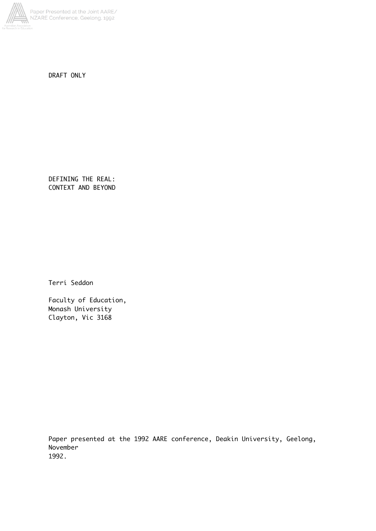

DRAFT ONLY

DEFINING THE REAL: CONTEXT AND BEYOND

Terri Seddon

Faculty of Education, Monash University Clayton, Vic 3168

Paper presented at the 1992 AARE conference, Deakin University, Geelong, November 1992.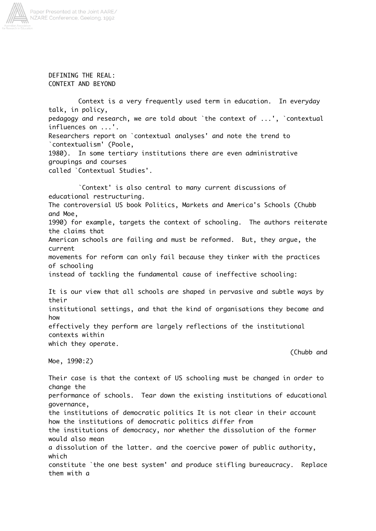

DEFINING THE REAL: CONTEXT AND BEYOND

Context is a very frequently used term in education. In everyday talk, in policy, pedagogy and research, we are told about `the context of ...', `contextual influences on ...'. Researchers report on `contextual analyses' and note the trend to `contextualism' (Poole, 1980). In some tertiary institutions there are even administrative groupings and courses called `Contextual Studies'.

`Context' is also central to many current discussions of educational restructuring. The controversial US book Politics, Markets and America's Schools (Chubb and Moe, 1990) for example, targets the context of schooling. The authors reiterate the claims that American schools are failing and must be reformed. But, they argue, the current movements for reform can only fail because they tinker with the practices of schooling instead of tackling the fundamental cause of ineffective schooling: It is our view that all schools are shaped in pervasive and subtle ways by their institutional settings, and that the kind of organisations they become and how

effectively they perform are largely reflections of the institutional contexts within which they operate.

Moe, 1990:2)

(Chubb and

Their case is that the context of US schooling must be changed in order to change the performance of schools. Tear down the existing institutions of educational governance, the institutions of democratic politics It is not clear in their account how the institutions of democratic politics differ from the institutions of democracy, nor whether the dissolution of the former would also mean a dissolution of the latter. and the coercive power of public authority, which constitute `the one best system' and produce stifling bureaucracy. Replace them with a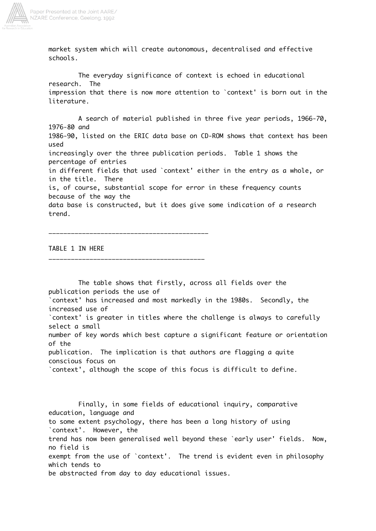

market system which will create autonomous, decentralised and effective schools.

The everyday significance of context is echoed in educational research. The impression that there is now more attention to `context' is born out in the literature.

A search of material published in three five year periods, 1966-70, 1976-80 and 1986-90, listed on the ERIC data base on CD-ROM shows that context has been used increasingly over the three publication periods. Table 1 shows the percentage of entries in different fields that used `context' either in the entry as a whole, or in the title. There is, of course, substantial scope for error in these frequency counts because of the way the data base is constructed, but it does give some indication of a research trend.

TABLE 1 IN HERE

\_\_\_\_\_\_\_\_\_\_\_\_\_\_\_\_\_\_\_\_\_\_\_\_\_\_\_\_\_\_\_\_\_\_\_\_\_\_\_\_\_\_

\_\_\_\_\_\_\_\_\_\_\_\_\_\_\_\_\_\_\_\_\_\_\_\_\_\_\_\_\_\_\_\_\_\_\_\_\_\_\_\_\_\_\_

publication periods the use of `context' has increased and most markedly in the 1980s. Secondly, the increased use of `context' is greater in titles where the challenge is always to carefully select a small number of key words which best capture a significant feature or orientation of the publication. The implication is that authors are flagging a quite conscious focus on `context', although the scope of this focus is difficult to define. Finally, in some fields of educational inquiry, comparative education, language and to some extent psychology, there has been a long history of using `context'. However, the trend has now been generalised well beyond these `early user' fields. Now, no field is exempt from the use of `context'. The trend is evident even in philosophy which tends to be abstracted from day to day educational issues.

The table shows that firstly, across all fields over the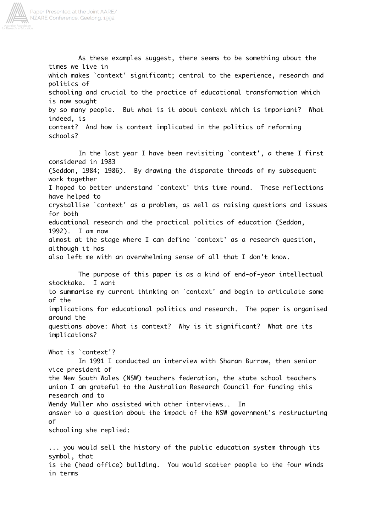

As these examples suggest, there seems to be something about the times we live in which makes `context' significant; central to the experience, research and politics of schooling and crucial to the practice of educational transformation which is now sought by so many people. But what is it about context which is important? What indeed, is context? And how is context implicated in the politics of reforming schools?

In the last year I have been revisiting `context', a theme I first considered in 1983 (Seddon, 1984; 1986). By drawing the disparate threads of my subsequent work together I hoped to better understand `context' this time round. These reflections have helped to crystallise `context' as a problem, as well as raising questions and issues for both educational research and the practical politics of education (Seddon, 1992). I am now almost at the stage where I can define `context' as a research question, although it has also left me with an overwhelming sense of all that I don't know.

The purpose of this paper is as a kind of end-of-year intellectual stocktake. I want to summarise my current thinking on `context' and begin to articulate some of the implications for educational politics and research. The paper is organised around the questions above: What is context? Why is it significant? What are its implications?

What is `context'? In 1991 I conducted an interview with Sharan Burrow, then senior vice president of the New South Wales (NSW) teachers federation, the state school teachers union I am grateful to the Australian Research Council for funding this research and to Wendy Muller who assisted with other interviews.. In answer to a question about the impact of the NSW government's restructuring of schooling she replied:

... you would sell the history of the public education system through its symbol, that is the (head office) building. You would scatter people to the four winds in terms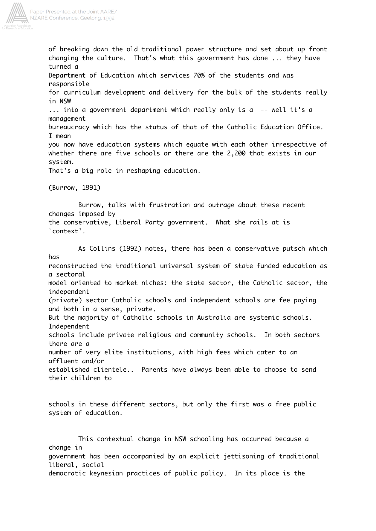

Paper Presented at the Joint AARE/ NZARE Conference, Geelong, 1992

> of breaking down the old traditional power structure and set about up front changing the culture. That's what this government has done ... they have turned a Department of Education which services 70% of the students and was responsible for curriculum development and delivery for the bulk of the students really in NSW ... into a government department which really only is a -- well it's a management bureaucracy which has the status of that of the Catholic Education Office. I mean you now have education systems which equate with each other irrespective of whether there are five schools or there are the 2,200 that exists in our system. That's a big role in reshaping education. (Burrow, 1991) Burrow, talks with frustration and outrage about these recent changes imposed by the conservative, Liberal Party government. What she rails at is `context'. As Collins (1992) notes, there has been a conservative putsch which has reconstructed the traditional universal system of state funded education as a sectoral model oriented to market niches: the state sector, the Catholic sector, the independent (private) sector Catholic schools and independent schools are fee paying and both in a sense, private. But the majority of Catholic schools in Australia are systemic schools. Independent schools include private religious and community schools. In both sectors there are a number of very elite institutions, with high fees which cater to an affluent and/or established clientele.. Parents have always been able to choose to send their children to schools in these different sectors, but only the first was a free public system of education.

This contextual change in NSW schooling has occurred because a change in government has been accompanied by an explicit jettisoning of traditional liberal, social democratic keynesian practices of public policy. In its place is the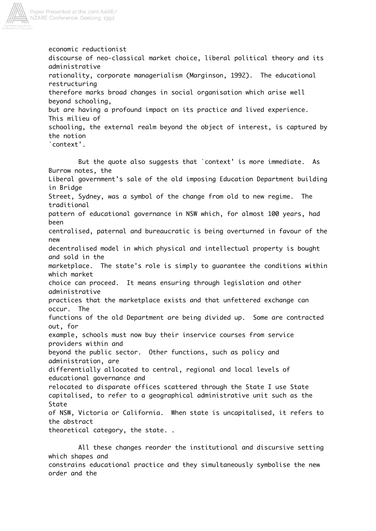

economic reductionist discourse of neo-classical market choice, liberal political theory and its administrative rationality, corporate managerialism (Marginson, 1992). The educational restructuring therefore marks broad changes in social organisation which arise well beyond schooling, but are having a profound impact on its practice and lived experience. This milieu of schooling, the external realm beyond the object of interest, is captured by the notion `context'.

But the quote also suggests that `context' is more immediate. As Burrow notes, the Liberal government's sale of the old imposing Education Department building in Bridge Street, Sydney, was a symbol of the change from old to new regime. The traditional pattern of educational governance in NSW which, for almost 100 years, had been centralised, paternal and bureaucratic is being overturned in favour of the new decentralised model in which physical and intellectual property is bought and sold in the marketplace. The state's role is simply to guarantee the conditions within which market choice can proceed. It means ensuring through legislation and other administrative practices that the marketplace exists and that unfettered exchange can occur. The functions of the old Department are being divided up. Some are contracted out, for example, schools must now buy their inservice courses from service providers within and beyond the public sector. Other functions, such as policy and administration, are differentially allocated to central, regional and local levels of educational governance and relocated to disparate offices scattered through the State I use State capitalised, to refer to a geographical administrative unit such as the **State** of NSW, Victoria or California. When state is uncapitalised, it refers to the abstract theoretical category, the state. .

All these changes reorder the institutional and discursive setting which shapes and constrains educational practice and they simultaneously symbolise the new order and the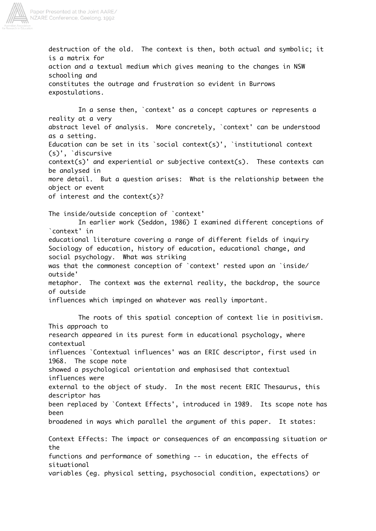

destruction of the old. The context is then, both actual and symbolic; it is a matrix for action and a textual medium which gives meaning to the changes in NSW schooling and constitutes the outrage and frustration so evident in Burrows expostulations. In a sense then, `context' as a concept captures or represents a reality at a very abstract level of analysis. More concretely, `context' can be understood as a setting.

Education can be set in its `social context(s)', `institutional context (s)', `discursive

context(s)' and experiential or subjective context(s). These contexts can be analysed in

more detail. But a question arises: What is the relationship between the object or event

of interest and the context(s)?

The inside/outside conception of `context'

In earlier work (Seddon, 1986) I examined different conceptions of `context' in educational literature covering a range of different fields of inquiry Sociology of education, history of education, educational change, and social psychology. What was striking was that the commonest conception of `context' rested upon an `inside/ outside' metaphor. The context was the external reality, the backdrop, the source of outside

influences which impinged on whatever was really important.

The roots of this spatial conception of context lie in positivism. This approach to research appeared in its purest form in educational psychology, where contextual influences `Contextual influences' was an ERIC descriptor, first used in 1968. The scope note showed a psychological orientation and emphasised that contextual influences were external to the object of study. In the most recent ERIC Thesaurus, this descriptor has been replaced by `Context Effects', introduced in 1989. Its scope note has been broadened in ways which parallel the argument of this paper. It states: Context Effects: The impact or consequences of an encompassing situation or the functions and performance of something -- in education, the effects of situational variables (eg. physical setting, psychosocial condition, expectations) or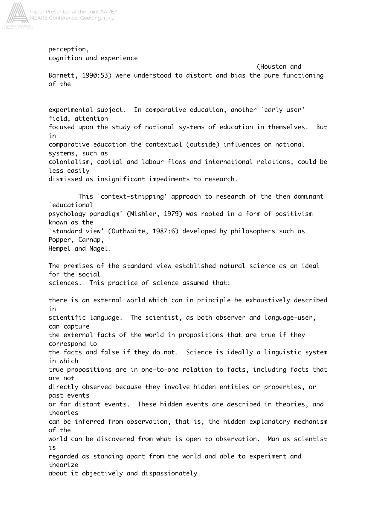

Paper Presented at the Joint AARE/ NZARE Conference, Geelong, 1992

> perception, cognition and experience

(Houston and Barnett, 1990:53) were understood to distort and bias the pure functioning of the

experimental subject. In comparative education, another `early user' field, attention focused upon the study of national systems of education in themselves. But in comparative education the contextual (outside) influences on national systems, such as colonialism, capital and labour flows and international relations, could be less easily dismissed as insignificant impediments to research.

This `context-stripping' approach to research of the then dominant `educational psychology paradigm' (Mishler, 1979) was rooted in a form of positivism known as the `standard view' (Outhwaite, 1987:6) developed by philosophers such as Popper, Carnap, Hempel and Nagel.

The premises of the standard view established natural science as an ideal for the social sciences. This practice of science assumed that:

there is an external world which can in principle be exhaustively described in scientific language. The scientist, as both observer and language-user, can capture the external facts of the world in propositions that are true if they correspond to the facts and false if they do not. Science is ideally a linguistic system in which true propositions are in one-to-one relation to facts, including facts that are not directly observed because they involve hidden entities or properties, or past events or far distant events. These hidden events are described in theories, and theories can be inferred from observation, that is, the hidden explanatory mechanism of the world can be discovered from what is open to observation. Man as scientist is regarded as standing apart from the world and able to experiment and theorize about it objectively and dispassionately.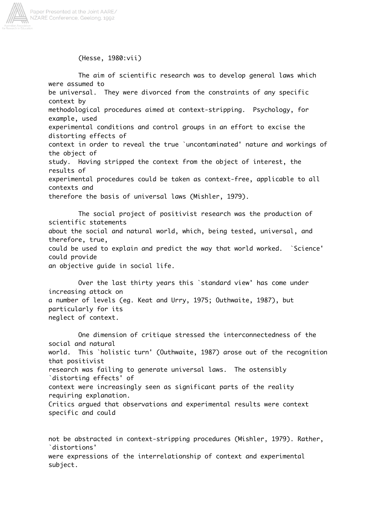

(Hesse, 1980:vii)

The aim of scientific research was to develop general laws which were assumed to be universal. They were divorced from the constraints of any specific context by methodological procedures aimed at context-stripping. Psychology, for example, used experimental conditions and control groups in an effort to excise the distorting effects of context in order to reveal the true `uncontaminated' nature and workings of the object of study. Having stripped the context from the object of interest, the results of experimental procedures could be taken as context-free, applicable to all contexts and therefore the basis of universal laws (Mishler, 1979).

The social project of positivist research was the production of scientific statements about the social and natural world, which, being tested, universal, and therefore, true, could be used to explain and predict the way that world worked. `Science' could provide an objective guide in social life.

Over the last thirty years this `standard view' has come under increasing attack on a number of levels (eg. Keat and Urry, 1975; Outhwaite, 1987), but particularly for its neglect of context.

One dimension of critique stressed the interconnectedness of the social and natural world. This `holistic turn' (Outhwaite, 1987) arose out of the recognition that positivist research was failing to generate universal laws. The ostensibly `distorting effects' of context were increasingly seen as significant parts of the reality requiring explanation. Critics argued that observations and experimental results were context specific and could

not be abstracted in context-stripping procedures (Mishler, 1979). Rather, `distortions' were expressions of the interrelationship of context and experimental subject.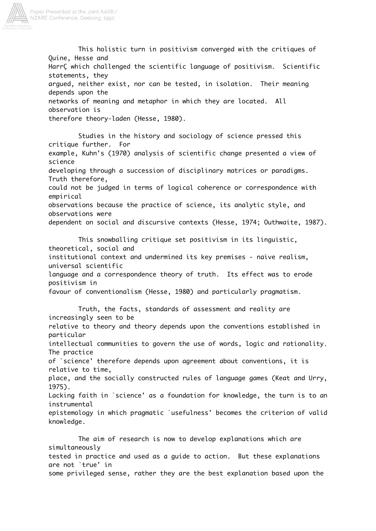

This holistic turn in positivism converged with the critiques of Quine, Hesse and HarrÇ which challenged the scientific language of positivism. Scientific statements, they argued, neither exist, nor can be tested, in isolation. Their meaning depends upon the networks of meaning and metaphor in which they are located. All observation is therefore theory-laden (Hesse, 1980).

Studies in the history and sociology of science pressed this critique further. For example, Kuhn's (1970) analysis of scientific change presented a view of science developing through a succession of disciplinary matrices or paradigms. Truth therefore, could not be judged in terms of logical coherence or correspondence with empirical observations because the practice of science, its analytic style, and observations were dependent on social and discursive contexts (Hesse, 1974; Outhwaite, 1987).

This snowballing critique set positivism in its linguistic, theoretical, social and institutional context and undermined its key premises - naive realism, universal scientific language and a correspondence theory of truth. Its effect was to erode positivism in favour of conventionalism (Hesse, 1980) and particularly pragmatism.

Truth, the facts, standards of assessment and reality are increasingly seen to be relative to theory and theory depends upon the conventions established in particular intellectual communities to govern the use of words, logic and rationality. The practice of `science' therefore depends upon agreement about conventions, it is relative to time, place, and the socially constructed rules of language games (Keat and Urry, 1975). Lacking faith in `science' as a foundation for knowledge, the turn is to an instrumental epistemology in which pragmatic `usefulness' becomes the criterion of valid knowledge.

The aim of research is now to develop explanations which are simultaneously tested in practice and used as a guide to action. But these explanations are not `true' in some privileged sense, rather they are the best explanation based upon the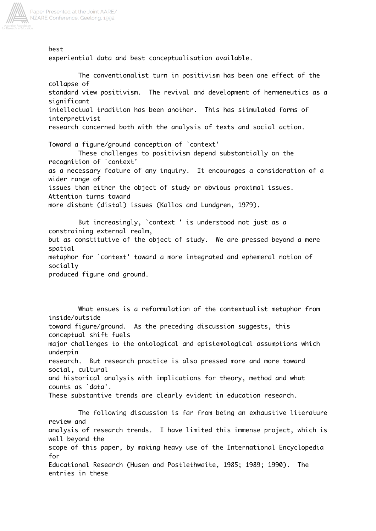

best

experiential data and best conceptualisation available.

The conventionalist turn in positivism has been one effect of the collapse of standard view positivism. The revival and development of hermeneutics as a significant intellectual tradition has been another. This has stimulated forms of interpretivist research concerned both with the analysis of texts and social action. Toward a figure/ground conception of `context' These challenges to positivism depend substantially on the recognition of `context' as a necessary feature of any inquiry. It encourages a consideration of a wider range of issues than either the object of study or obvious proximal issues. Attention turns toward more distant (distal) issues (Kallos and Lundgren, 1979).

But increasingly, `context ' is understood not just as a constraining external realm, but as constitutive of the object of study. We are pressed beyond a mere spatial metaphor for `context' toward a more integrated and ephemeral notion of socially produced figure and ground.

What ensues is a reformulation of the contextualist metaphor from inside/outside toward figure/ground. As the preceding discussion suggests, this conceptual shift fuels major challenges to the ontological and epistemological assumptions which underpin research. But research practice is also pressed more and more toward social, cultural and historical analysis with implications for theory, method and what counts as `data'. These substantive trends are clearly evident in education research. The following discussion is far from being an exhaustive literature review and analysis of research trends. I have limited this immense project, which is well beyond the scope of this paper, by making heavy use of the International Encyclopedia for Educational Research (Husen and Postlethwaite, 1985; 1989; 1990). The entries in these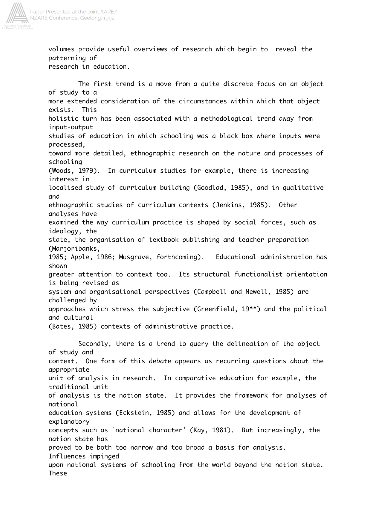

volumes provide useful overviews of research which begin to reveal the patterning of research in education.

The first trend is a move from a quite discrete focus on an object of study to a more extended consideration of the circumstances within which that object exists. This holistic turn has been associated with a methodological trend away from input-output studies of education in which schooling was a black box where inputs were processed, toward more detailed, ethnographic research on the nature and processes of schooling (Woods, 1979). In curriculum studies for example, there is increasing interest in localised study of curriculum building (Goodlad, 1985), and in qualitative and ethnographic studies of curriculum contexts (Jenkins, 1985). Other analyses have examined the way curriculum practice is shaped by social forces, such as ideology, the state, the organisation of textbook publishing and teacher preparation (Marjoribanks, 1985; Apple, 1986; Musgrave, forthcoming). Educational administration has shown greater attention to context too. Its structural functionalist orientation is being revised as system and organisational perspectives (Campbell and Newell, 1985) are challenged by approaches which stress the subjective (Greenfield, 19\*\*) and the political and cultural (Bates, 1985) contexts of administrative practice. Secondly, there is a trend to query the delineation of the object of study and context. One form of this debate appears as recurring questions about the appropriate unit of analysis in research. In comparative education for example, the traditional unit of analysis is the nation state. It provides the framework for analyses of national education systems (Eckstein, 1985) and allows for the development of explanatory concepts such as `national character' (Kay, 1981). But increasingly, the nation state has proved to be both too narrow and too broad a basis for analysis. Influences impinged upon national systems of schooling from the world beyond the nation state. These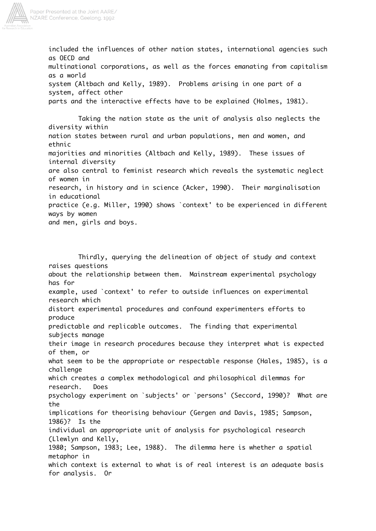

included the influences of other nation states, international agencies such as OECD and multinational corporations, as well as the forces emanating from capitalism as a world system (Altbach and Kelly, 1989). Problems arising in one part of a system, affect other parts and the interactive effects have to be explained (Holmes, 1981).

Taking the nation state as the unit of analysis also neglects the diversity within nation states between rural and urban populations, men and women, and ethnic majorities and minorities (Altbach and Kelly, 1989). These issues of internal diversity are also central to feminist research which reveals the systematic neglect of women in research, in history and in science (Acker, 1990). Their marginalisation in educational practice (e.g. Miller, 1990) shows `context' to be experienced in different ways by women and men, girls and boys.

Thirdly, querying the delineation of object of study and context raises questions about the relationship between them. Mainstream experimental psychology has for example, used `context' to refer to outside influences on experimental research which distort experimental procedures and confound experimenters efforts to produce predictable and replicable outcomes. The finding that experimental subjects manage their image in research procedures because they interpret what is expected of them, or what seem to be the appropriate or respectable response (Hales, 1985), is a challenge which creates a complex methodological and philosophical dilemmas for research. Does psychology experiment on `subjects' or `persons' (Seccord, 1990)? What are the implications for theorising behaviour (Gergen and Davis, 1985; Sampson, 1986)? Is the individual an appropriate unit of analysis for psychological research (Llewlyn and Kelly, 1980; Sampson, 1983; Lee, 1988). The dilemma here is whether a spatial metaphor in which context is external to what is of real interest is an adequate basis for analysis. Or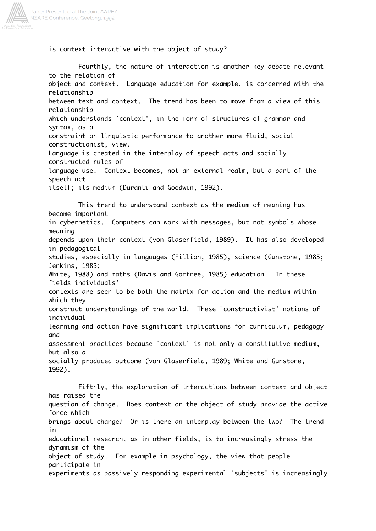

is context interactive with the object of study?

Fourthly, the nature of interaction is another key debate relevant to the relation of object and context. Language education for example, is concerned with the relationship between text and context. The trend has been to move from a view of this relationship which understands `context', in the form of structures of grammar and syntax, as a constraint on linguistic performance to another more fluid, social constructionist, view. Language is created in the interplay of speech acts and socially constructed rules of language use. Context becomes, not an external realm, but a part of the speech act itself; its medium (Duranti and Goodwin, 1992). This trend to understand context as the medium of meaning has become important in cybernetics. Computers can work with messages, but not symbols whose meaning depends upon their context (von Glaserfield, 1989). It has also developed in pedagogical studies, especially in languages (Fillion, 1985), science (Gunstone, 1985; Jenkins, 1985; White, 1988) and maths (Davis and Goffree, 1985) education. In these fields individuals' contexts are seen to be both the matrix for action and the medium within which they construct understandings of the world. These `constructivist' notions of individual learning and action have significant implications for curriculum, pedagogy and assessment practices because `context' is not only a constitutive medium, but also a socially produced outcome (von Glaserfield, 1989; White and Gunstone, 1992). Fifthly, the exploration of interactions between context and object has raised the question of change. Does context or the object of study provide the active force which brings about change? Or is there an interplay between the two? The trend in

educational research, as in other fields, is to increasingly stress the dynamism of the

object of study. For example in psychology, the view that people participate in experiments as passively responding experimental `subjects' is increasingly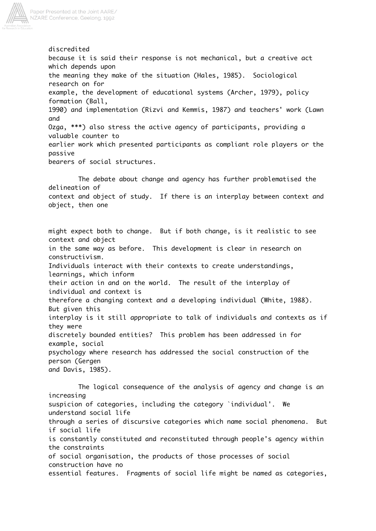

discredited because it is said their response is not mechanical, but a creative act which depends upon the meaning they make of the situation (Hales, 1985). Sociological research on for example, the development of educational systems (Archer, 1979), policy formation (Ball, 1990) and implementation (Rizvi and Kemmis, 1987) and teachers' work (Lawn and Ozga, \*\*\*) also stress the active agency of participants, providing a valuable counter to earlier work which presented participants as compliant role players or the passive bearers of social structures. The debate about change and agency has further problematised the delineation of context and object of study. If there is an interplay between context and object, then one might expect both to change. But if both change, is it realistic to see context and object in the same way as before. This development is clear in research on constructivism. Individuals interact with their contexts to create understandings, learnings, which inform their action in and on the world. The result of the interplay of individual and context is therefore a changing context and a developing individual (White, 1988).

interplay is it still appropriate to talk of individuals and contexts as if they were discretely bounded entities? This problem has been addressed in for

example, social psychology where research has addressed the social construction of the

person (Gergen and Davis, 1985).

But given this

The logical consequence of the analysis of agency and change is an increasing suspicion of categories, including the category `individual'. We understand social life through a series of discursive categories which name social phenomena. But if social life is constantly constituted and reconstituted through people's agency within the constraints of social organisation, the products of those processes of social construction have no essential features. Fragments of social life might be named as categories,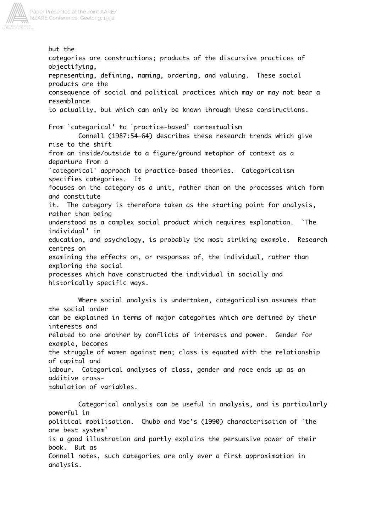

but the categories are constructions; products of the discursive practices of objectifying, representing, defining, naming, ordering, and valuing. These social products are the consequence of social and political practices which may or may not bear a resemblance to actuality, but which can only be known through these constructions. From `categorical' to `practice-based' contextualism Connell (1987:54-64) describes these research trends which give rise to the shift from an inside/outside to a figure/ground metaphor of context as a departure from a `categorical' approach to practice-based theories. Categoricalism specifies categories. It focuses on the category as a unit, rather than on the processes which form and constitute it. The category is therefore taken as the starting point for analysis, rather than being understood as a complex social product which requires explanation. `The individual' in education, and psychology, is probably the most striking example. Research centres on examining the effects on, or responses of, the individual, rather than exploring the social processes which have constructed the individual in socially and historically specific ways. Where social analysis is undertaken, categoricalism assumes that the social order

can be explained in terms of major categories which are defined by their interests and related to one another by conflicts of interests and power. Gender for example, becomes the struggle of women against men; class is equated with the relationship of capital and labour. Categorical analyses of class, gender and race ends up as an

additive cross-

tabulation of variables.

Categorical analysis can be useful in analysis, and is particularly powerful in political mobilisation. Chubb and Moe's (1990) characterisation of `the one best system' is a good illustration and partly explains the persuasive power of their book. But as Connell notes, such categories are only ever a first approximation in analysis.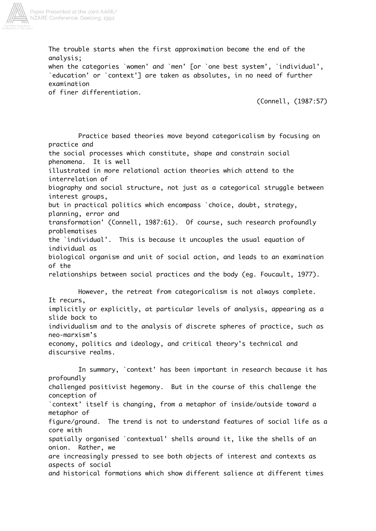

The trouble starts when the first approximation become the end of the analysis;

when the categories `women' and `men' [or `one best system', `individual', `education' or `context'] are taken as absolutes, in no need of further examination

of finer differentiation.

(Connell, (1987:57)

Practice based theories move beyond categoricalism by focusing on practice and the social processes which constitute, shape and constrain social phenomena. It is well illustrated in more relational action theories which attend to the interrelation of biography and social structure, not just as a categorical struggle between interest groups, but in practical politics which encompass `choice, doubt, strategy, planning, error and transformation' (Connell, 1987:61). Of course, such research profoundly problematises the `individual'. This is because it uncouples the usual equation of individual as biological organism and unit of social action, and leads to an examination of the relationships between social practices and the body (eg. Foucault, 1977). However, the retreat from categoricalism is not always complete. It recurs, implicitly or explicitly, at particular levels of analysis, appearing as a slide back to individualism and to the analysis of discrete spheres of practice, such as neo-marxism's economy, politics and ideology, and critical theory's technical and discursive realms. In summary, `context' has been important in research because it has profoundly challenged positivist hegemony. But in the course of this challenge the conception of `context' itself is changing, from a metaphor of inside/outside toward a metaphor of figure/ground. The trend is not to understand features of social life as a core with spatially organised `contextual' shells around it, like the shells of an onion. Rather, we are increasingly pressed to see both objects of interest and contexts as aspects of social and historical formations which show different salience at different times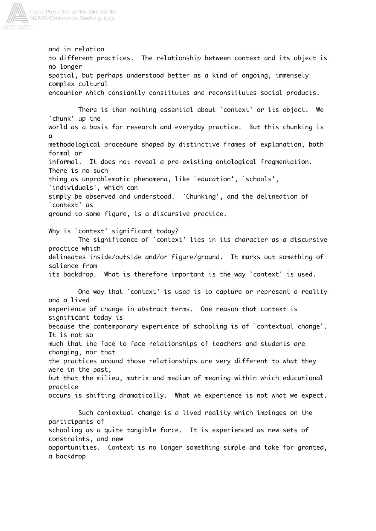

and in relation to different practices. The relationship between context and its object is no longer spatial, but perhaps understood better as a kind of ongoing, immensely complex cultural encounter which constantly constitutes and reconstitutes social products. There is then nothing essential about `context' or its object. We `chunk' up the world as a basis for research and everyday practice. But this chunking is a methodological procedure shaped by distinctive frames of explanation, both formal or informal. It does not reveal a pre-existing ontological fragmentation. There is no such thing as unproblematic phenomena, like `education', `schools', `individuals', which can simply be observed and understood. `Chunking', and the delineation of `context' as ground to some figure, is a discursive practice. Why is `context' significant today? The significance of `context' lies in its character as a discursive practice which delineates inside/outside and/or figure/ground. It marks out something of salience from its backdrop. What is therefore important is the way `context' is used. One way that `context' is used is to capture or represent a reality and a lived experience of change in abstract terms. One reason that context is significant today is because the contemporary experience of schooling is of `contextual change'. It is not so much that the face to face relationships of teachers and students are changing, nor that the practices around those relationships are very different to what they were in the past, but that the milieu, matrix and medium of meaning within which educational practice occurs is shifting dramatically. What we experience is not what we expect. Such contextual change is a lived reality which impinges on the participants of schooling as a quite tangible force. It is experienced as new sets of constraints, and new opportunities. Context is no longer something simple and take for granted, a backdrop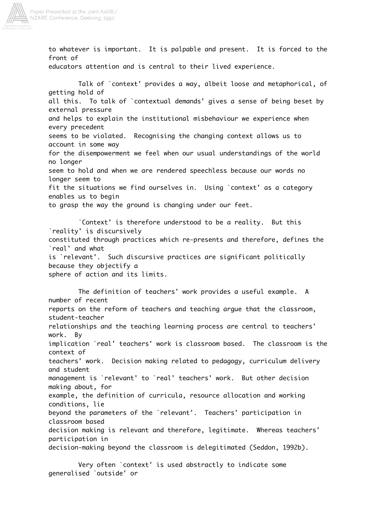

to whatever is important. It is palpable and present. It is forced to the front of educators attention and is central to their lived experience. Talk of `context' provides a way, albeit loose and metaphorical, of getting hold of all this. To talk of `contextual demands' gives a sense of being beset by external pressure and helps to explain the institutional misbehaviour we experience when every precedent seems to be violated. Recognising the changing context allows us to account in some way for the disempowerment we feel when our usual understandings of the world no longer seem to hold and when we are rendered speechless because our words no longer seem to fit the situations we find ourselves in. Using `context' as a category enables us to begin to grasp the way the ground is changing under our feet. `Context' is therefore understood to be a reality. But this `reality' is discursively constituted through practices which re-presents and therefore, defines the `real' and what is `relevant'. Such discursive practices are significant politically because they objectify a sphere of action and its limits. The definition of teachers' work provides a useful example. A number of recent reports on the reform of teachers and teaching argue that the classroom, student-teacher relationships and the teaching learning process are central to teachers' work. By implication `real' teachers' work is classroom based. The classroom is the context of teachers' work. Decision making related to pedagogy, curriculum delivery and student management is `relevant' to `real' teachers' work. But other decision making about, for example, the definition of curricula, resource allocation and working

conditions, lie beyond the parameters of the `relevant'. Teachers' participation in classroom based

decision making is relevant and therefore, legitimate. Whereas teachers' participation in decision-making beyond the classroom is delegitimated (Seddon, 1992b).

Very often `context' is used abstractly to indicate some generalised `outside' or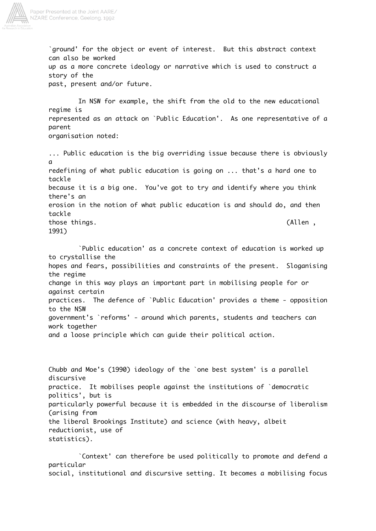

`ground' for the object or event of interest. But this abstract context can also be worked up as a more concrete ideology or narrative which is used to construct a story of the past, present and/or future. In NSW for example, the shift from the old to the new educational regime is represented as an attack on `Public Education'. As one representative of a parent organisation noted: ... Public education is the big overriding issue because there is obviously

a redefining of what public education is going on ... that's a hard one to tackle because it is a big one. You've got to try and identify where you think there's an erosion in the notion of what public education is and should do, and then tackle those things. (Allen , 1991)

`Public education' as a concrete context of education is worked up to crystallise the hopes and fears, possibilities and constraints of the present. Sloganising the regime change in this way plays an important part in mobilising people for or against certain practices. The defence of `Public Education' provides a theme - opposition to the NSW government's `reforms' - around which parents, students and teachers can work together and a loose principle which can guide their political action.

Chubb and Moe's (1990) ideology of the `one best system' is a parallel discursive practice. It mobilises people against the institutions of `democratic politics', but is particularly powerful because it is embedded in the discourse of liberalism (arising from the liberal Brookings Institute) and science (with heavy, albeit reductionist, use of statistics).

`Context' can therefore be used politically to promote and defend a particular social, institutional and discursive setting. It becomes a mobilising focus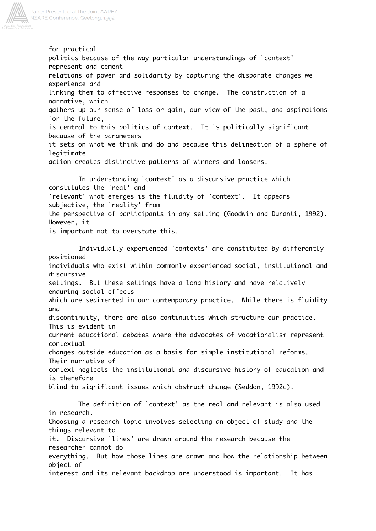

for practical politics because of the way particular understandings of `context' represent and cement relations of power and solidarity by capturing the disparate changes we experience and linking them to affective responses to change. The construction of a narrative, which gathers up our sense of loss or gain, our view of the past, and aspirations for the future, is central to this politics of context. It is politically significant because of the parameters it sets on what we think and do and because this delineation of a sphere of legitimate action creates distinctive patterns of winners and loosers. In understanding `context' as a discursive practice which

constitutes the `real' and `relevant' what emerges is the fluidity of `context'. It appears subjective, the `reality' from the perspective of participants in any setting (Goodwin and Duranti, 1992). However, it is important not to overstate this.

Individually experienced `contexts' are constituted by differently positioned individuals who exist within commonly experienced social, institutional and discursive settings. But these settings have a long history and have relatively enduring social effects which are sedimented in our contemporary practice. While there is fluidity and discontinuity, there are also continuities which structure our practice. This is evident in current educational debates where the advocates of vocationalism represent contextual changes outside education as a basis for simple institutional reforms. Their narrative of context neglects the institutional and discursive history of education and is therefore blind to significant issues which obstruct change (Seddon, 1992c). The definition of `context' as the real and relevant is also used in research. Choosing a research topic involves selecting an object of study and the things relevant to it. Discursive `lines' are drawn around the research because the researcher cannot do everything. But how those lines are drawn and how the relationship between object of

interest and its relevant backdrop are understood is important. It has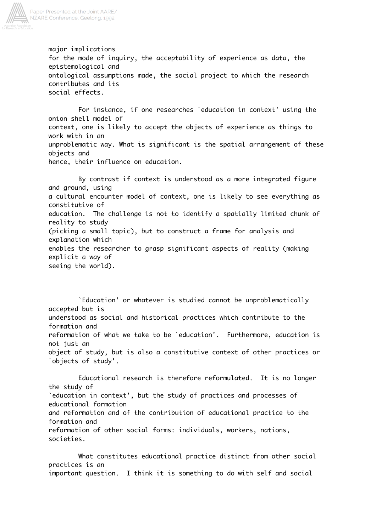

major implications for the mode of inquiry, the acceptability of experience as data, the epistemological and ontological assumptions made, the social project to which the research contributes and its social effects.

For instance, if one researches `education in context' using the onion shell model of context, one is likely to accept the objects of experience as things to work with in an unproblematic way. What is significant is the spatial arrangement of these objects and hence, their influence on education.

By contrast if context is understood as a more integrated figure and ground, using a cultural encounter model of context, one is likely to see everything as constitutive of education. The challenge is not to identify a spatially limited chunk of reality to study (picking a small topic), but to construct a frame for analysis and explanation which enables the researcher to grasp significant aspects of reality (making explicit a way of seeing the world).

`Education' or whatever is studied cannot be unproblematically accepted but is understood as social and historical practices which contribute to the formation and reformation of what we take to be `education'. Furthermore, education is not just an object of study, but is also a constitutive context of other practices or `objects of study'.

Educational research is therefore reformulated. It is no longer the study of `education in context', but the study of practices and processes of educational formation and reformation and of the contribution of educational practice to the formation and reformation of other social forms: individuals, workers, nations, societies.

What constitutes educational practice distinct from other social practices is an important question. I think it is something to do with self and social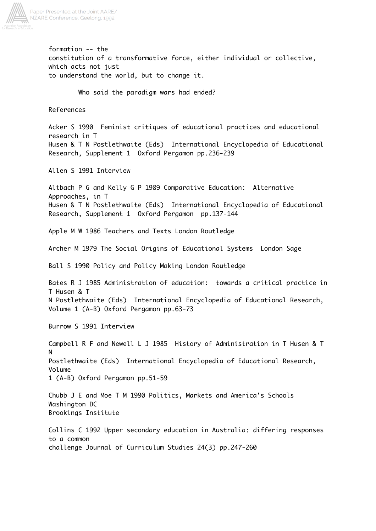

formation -- the constitution of a transformative force, either individual or collective, which acts not just to understand the world, but to change it. Who said the paradigm wars had ended? References Acker S 1990 Feminist critiques of educational practices and educational research in T Husen & T N Postlethwaite (Eds) International Encyclopedia of Educational Research, Supplement 1 Oxford Pergamon pp.236-239 Allen S 1991 Interview Altbach P G and Kelly G P 1989 Comparative Education: Alternative Approaches, in T Husen & T N Postlethwaite (Eds) International Encyclopedia of Educational Research, Supplement 1 Oxford Pergamon pp.137-144 Apple M W 1986 Teachers and Texts London Routledge Archer M 1979 The Social Origins of Educational Systems London Sage Ball S 1990 Policy and Policy Making London Routledge Bates R J 1985 Administration of education: towards a critical practice in T Husen & T N Postlethwaite (Eds) International Encyclopedia of Educational Research, Volume 1 (A-B) Oxford Pergamon pp.63-73 Burrow S 1991 Interview Campbell R F and Newell L J 1985 History of Administration in T Husen & T N Postlethwaite (Eds) International Encyclopedia of Educational Research, Volume 1 (A-B) Oxford Pergamon pp.51-59 Chubb J E and Moe T M 1990 Politics, Markets and America's Schools Washington DC Brookings Institute Collins C 1992 Upper secondary education in Australia: differing responses to a common challenge Journal of Curriculum Studies 24(3) pp.247-260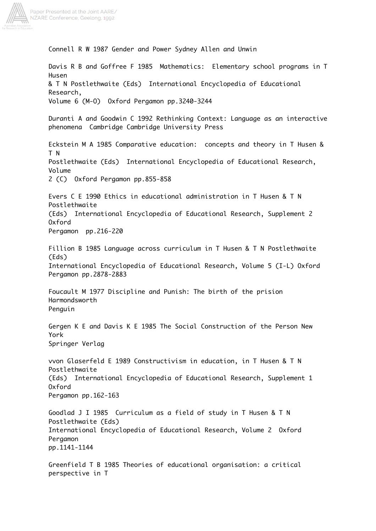

Paper Presented at the Joint AARE/ NZARE Conference, Geelong, 1992

> Connell R W 1987 Gender and Power Sydney Allen and Unwin Davis R B and Goffree F 1985 Mathematics: Elementary school programs in T Husen & T N Postlethwaite (Eds) International Encyclopedia of Educational Research, Volume 6 (M-O) Oxford Pergamon pp.3240-3244 Duranti A and Goodwin C 1992 Rethinking Context: Language as an interactive phenomena Cambridge Cambridge University Press Eckstein M A 1985 Comparative education: concepts and theory in T Husen & T N Postlethwaite (Eds) International Encyclopedia of Educational Research, Volume 2 (C) Oxford Pergamon pp.855-858 Evers C E 1990 Ethics in educational administration in T Husen & T N Postlethwaite (Eds) International Encyclopedia of Educational Research, Supplement 2 Oxford Pergamon pp.216-220 Fillion B 1985 Language across curriculum in T Husen & T N Postlethwaite (Eds) International Encyclopedia of Educational Research, Volume 5 (I-L) Oxford Pergamon pp.2878-2883 Foucault M 1977 Discipline and Punish: The birth of the prision Harmondsworth Penguin Gergen K E and Davis K E 1985 The Social Construction of the Person New York Springer Verlag vvon Glaserfeld E 1989 Constructivism in education, in T Husen & T N Postlethwaite (Eds) International Encyclopedia of Educational Research, Supplement 1 Oxford Pergamon pp.162-163 Goodlad J I 1985 Curriculum as a field of study in T Husen & T N Postlethwaite (Eds) International Encyclopedia of Educational Research, Volume 2 Oxford Pergamon pp.1141-1144 Greenfield T B 1985 Theories of educational organisation: a critical perspective in T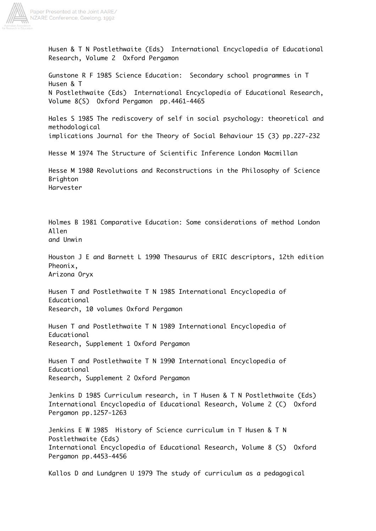

Husen & T N Postlethwaite (Eds) International Encyclopedia of Educational Research, Volume 2 Oxford Pergamon Gunstone R F 1985 Science Education: Secondary school programmes in T Husen & T N Postlethwaite (Eds) International Encyclopedia of Educational Research, Volume 8(S) Oxford Pergamon pp.4461-4465 Hales S 1985 The rediscovery of self in social psychology: theoretical and methodological implications Journal for the Theory of Social Behaviour 15 (3) pp.227-232 Hesse M 1974 The Structure of Scientific Inference London Macmillan Hesse M 1980 Revolutions and Reconstructions in the Philosophy of Science Brighton Harvester Holmes B 1981 Comparative Education: Some considerations of method London Allen and Unwin Houston J E and Barnett L 1990 Thesaurus of ERIC descriptors, 12th edition Pheonix, Arizona Oryx Husen T and Postlethwaite T N 1985 International Encyclopedia of Educational Research, 10 volumes Oxford Pergamon Husen T and Postlethwaite T N 1989 International Encyclopedia of Educational Research, Supplement 1 Oxford Pergamon Husen T and Postlethwaite T N 1990 International Encyclopedia of Educational Research, Supplement 2 Oxford Pergamon Jenkins D 1985 Curriculum research, in T Husen & T N Postlethwaite (Eds) International Encyclopedia of Educational Research, Volume 2 (C) Oxford Pergamon pp.1257-1263 Jenkins E W 1985 History of Science curriculum in T Husen & T N Postlethwaite (Eds) International Encyclopedia of Educational Research, Volume 8 (S) Oxford Pergamon pp.4453-4456 Kallos D and Lundgren U 1979 The study of curriculum as a pedagogical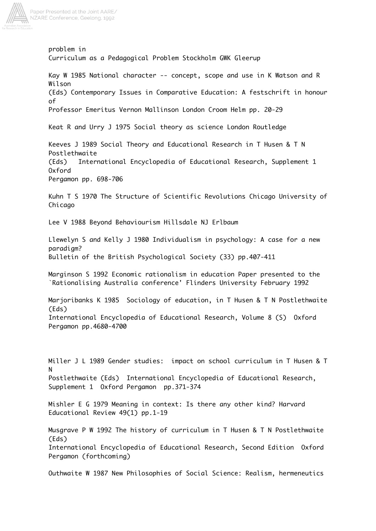

Paper Presented at the Joint AARE/ NZARE Conference, Geelong, 1992

> problem in Curriculum as a Pedagogical Problem Stockholm GWK Gleerup Kay W 1985 National character -- concept, scope and use in K Watson and R Wilson (Eds) Contemporary Issues in Comparative Education: A festschrift in honour of Professor Emeritus Vernon Mallinson London Croom Helm pp. 20-29 Keat R and Urry J 1975 Social theory as science London Routledge Keeves J 1989 Social Theory and Educational Research in T Husen & T N Postlethwaite (Eds) International Encyclopedia of Educational Research, Supplement 1 Oxford Pergamon pp. 698-706 Kuhn T S 1970 The Structure of Scientific Revolutions Chicago University of Chicago Lee V 1988 Beyond Behaviourism Hillsdale NJ Erlbaum Llewelyn S and Kelly J 1980 Individualism in psychology: A case for a new paradigm? Bulletin of the British Psychological Society (33) pp.407-411 Marginson S 1992 Economic rationalism in education Paper presented to the `Rationalising Australia conference' Flinders University February 1992 Marjoribanks K 1985 Sociology of education, in T Husen & T N Postlethwaite (Eds) International Encyclopedia of Educational Research, Volume 8 (S) Oxford Pergamon pp.4680-4700 Miller J L 1989 Gender studies: impact on school curriculum in T Husen & T N Postlethwaite (Eds) International Encyclopedia of Educational Research, Supplement 1 Oxford Pergamon pp.371-374 Mishler E G 1979 Meaning in context: Is there any other kind? Harvard Educational Review 49(1) pp.1-19 Musgrave P W 1992 The history of curriculum in T Husen & T N Postlethwaite (Eds) International Encyclopedia of Educational Research, Second Edition Oxford Pergamon (forthcoming)

Outhwaite W 1987 New Philosophies of Social Science: Realism, hermeneutics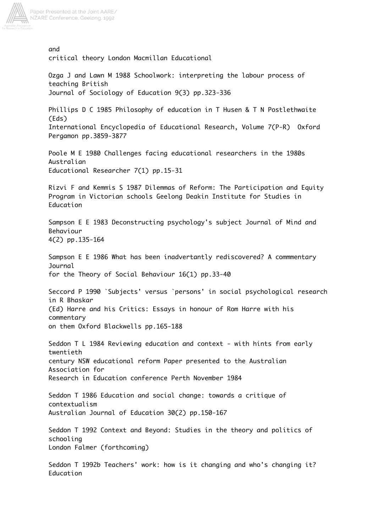

and critical theory London Macmillan Educational Ozga J and Lawn M 1988 Schoolwork: interpreting the labour process of teaching British Journal of Sociology of Education 9(3) pp.323-336 Phillips D C 1985 Philosophy of education in T Husen & T N Postlethwaite (Eds) International Encyclopedia of Educational Research, Volume 7(P-R) Oxford Pergamon pp.3859-3877 Poole M E 1980 Challenges facing educational researchers in the 1980s Australian Educational Researcher 7(1) pp.15-31 Rizvi F and Kemmis S 1987 Dilemmas of Reform: The Participation and Equity Program in Victorian schools Geelong Deakin Institute for Studies in Education Sampson E E 1983 Deconstructing psychology's subject Journal of Mind and Behaviour 4(2) pp.135-164 Sampson E E 1986 What has been inadvertantly rediscovered? A commmentary Journal for the Theory of Social Behaviour 16(1) pp.33-40 Seccord P 1990 `Subjects' versus `persons' in social psychological research in R Bhaskar (Ed) Harre and his Critics: Essays in honour of Rom Harre with his commentary on them Oxford Blackwells pp.165-188 Seddon T L 1984 Reviewing education and context - with hints from early twentieth century NSW educational reform Paper presented to the Australian Association for Research in Education conference Perth November 1984 Seddon T 1986 Education and social change: towards a critique of contextualism Australian Journal of Education 30(2) pp.150-167 Seddon T 1992 Context and Beyond: Studies in the theory and politics of schooling London Falmer (forthcoming) Seddon T 1992b Teachers' work: how is it changing and who's changing it? Education